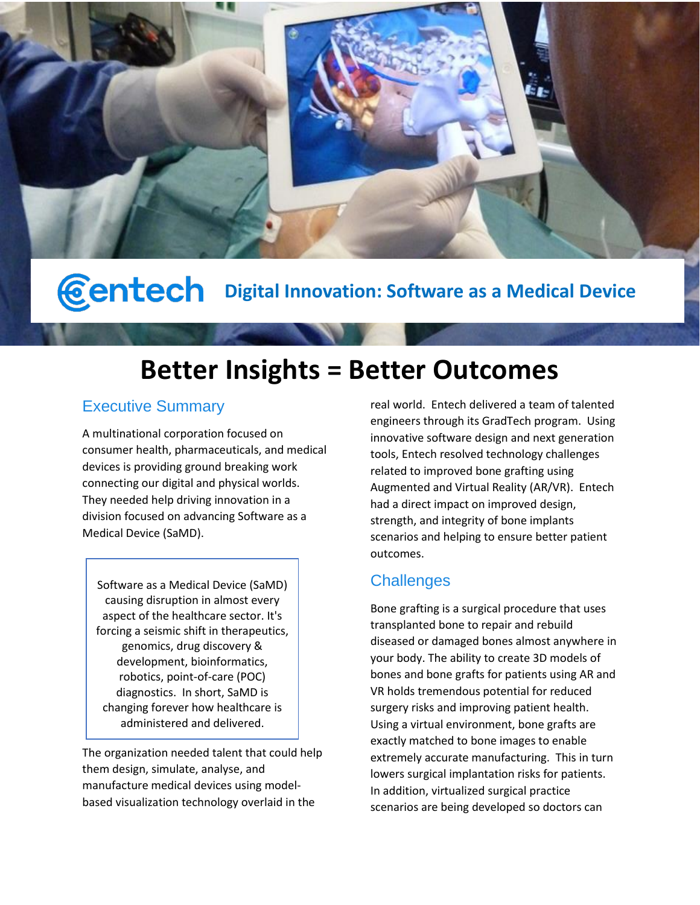

**Centech** Digital Innovation: Software as a Medical Device

# **Better Insights = Better Outcomes**

# Executive Summary

A multinational corporation focused on consumer health, pharmaceuticals, and medical devices is providing ground breaking work connecting our digital and physical worlds. They needed help driving innovation in a division focused on advancing Software as a Medical Device (SaMD).

Software as a Medical Device (SaMD) causing disruption in almost every aspect of the healthcare sector. It's forcing a seismic shift in therapeutics, genomics, drug discovery & development, bioinformatics, robotics, point-of-care (POC) diagnostics. In short, SaMD is changing forever how healthcare is administered and delivered.

The organization needed talent that could help them design, simulate, analyse, and manufacture medical devices using modelbased visualization technology overlaid in the

real world. Entech delivered a team of talented engineers through its GradTech program. Using innovative software design and next generation tools, Entech resolved technology challenges related to improved bone grafting using Augmented and Virtual Reality (AR/VR). Entech had a direct impact on improved design, strength, and integrity of bone implants scenarios and helping to ensure better patient outcomes.

# **Challenges**

Bone grafting is a surgical procedure that uses transplanted bone to repair and rebuild diseased or damaged bones almost anywhere in your body. The ability to create 3D models of bones and bone grafts for patients using AR and VR holds tremendous potential for reduced surgery risks and improving patient health. Using a virtual environment, bone grafts are exactly matched to bone images to enable extremely accurate manufacturing. This in turn lowers surgical implantation risks for patients. In addition, virtualized surgical practice scenarios are being developed so doctors can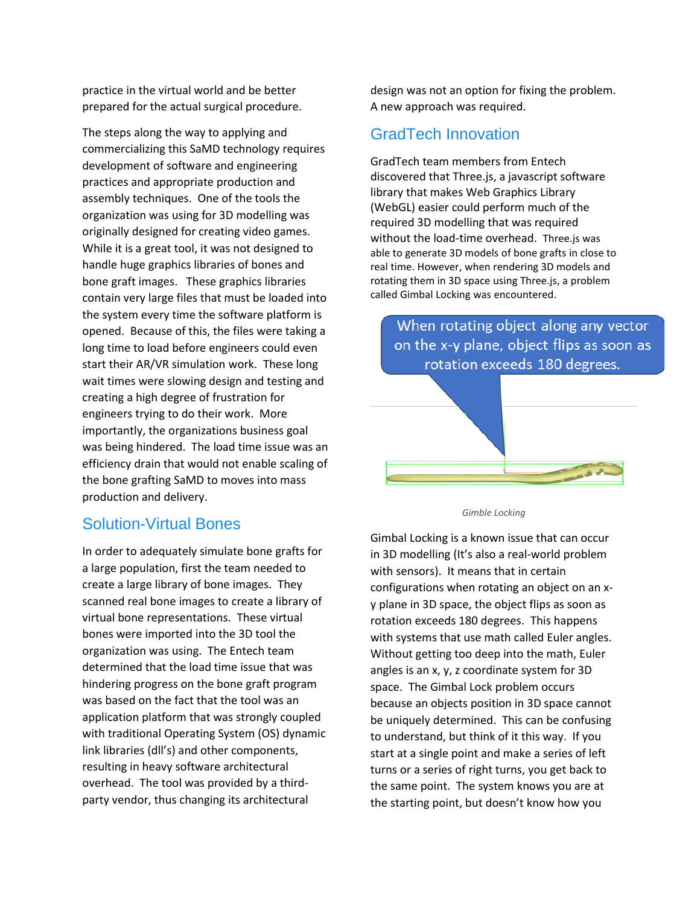practice in the virtual world and be better prepared for the actual surgical procedure.

The steps along the way to applying and commercializing this SaMD technology requires development of software and engineering practices and appropriate production and assembly techniques. One of the tools the organization was using for 3D modelling was originally designed for creating video games. While it is a great tool, it was not designed to handle huge graphics libraries of bones and bone graft images. These graphics libraries contain very large files that must be loaded into the system every time the software platform is opened. Because of this, the files were taking a long time to load before engineers could even start their AR/VR simulation work. These long wait times were slowing design and testing and creating a high degree of frustration for engineers trying to do their work. More importantly, the organizations business goal was being hindered. The load time issue was an efficiency drain that would not enable scaling of the bone grafting SaMD to moves into mass production and delivery.

#### Solution-Virtual Bones

In order to adequately simulate bone grafts for a large population, first the team needed to create a large library of bone images. They scanned real bone images to create a library of virtual bone representations. These virtual bones were imported into the 3D tool the organization was using. The Entech team determined that the load time issue that was hindering progress on the bone graft program was based on the fact that the tool was an application platform that was strongly coupled with traditional Operating System (OS) dynamic link libraries (dll's) and other components, resulting in heavy software architectural overhead. The tool was provided by a thirdparty vendor, thus changing its architectural

design was not an option for fixing the problem. A new approach was required.

#### GradTech Innovation

GradTech team members from Entech discovered that Three.js, a javascript software library that makes Web Graphics Library (WebGL) easier could perform much of the required 3D modelling that was required without the load-time overhead. Three.js was able to generate 3D models of bone grafts in close to real time. However, when rendering 3D models and rotating them in 3D space using Three.js, a problem called Gimbal Locking was encountered.

When rotating object along any vector on the x-y plane, object flips as soon as rotation exceeds 180 degrees.



*Gimble Locking*

Gimbal Locking is a known issue that can occur in 3D modelling (It's also a real-world problem with sensors). It means that in certain configurations when rotating an object on an xy plane in 3D space, the object flips as soon as rotation exceeds 180 degrees. This happens with systems that use math called Euler angles. Without getting too deep into the math, Euler angles is an x, y, z coordinate system for 3D space. The Gimbal Lock problem occurs because an objects position in 3D space cannot be uniquely determined. This can be confusing to understand, but think of it this way. If you start at a single point and make a series of left turns or a series of right turns, you get back to the same point. The system knows you are at the starting point, but doesn't know how you